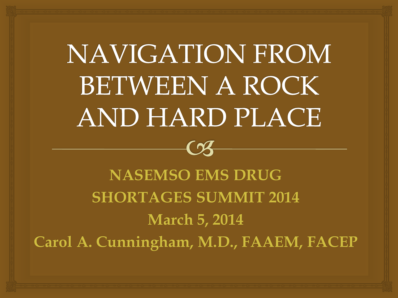# **NAVIGATION FROM BETWEEN A ROCK** AND HARD PLACE

**NASEMSO EMS DRUG SHORTAGES SUMMIT 2014 March 5, 2014 Carol A. Cunningham, M.D., FAAEM, FACEP**

 $\bm{C}$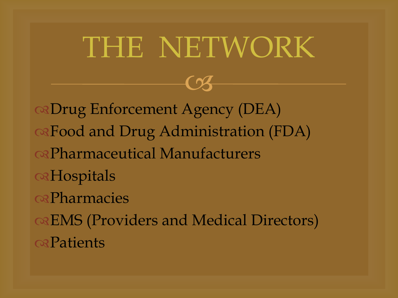## THE NETWORK

 $\curvearrowright$ 

Drug Enforcement Agency (DEA) Food and Drug Administration (FDA) Pharmaceutical Manufacturers **a**Hospitals *<u>osPharmacies</u>* EMS (Providers and Medical Directors) **exPatients**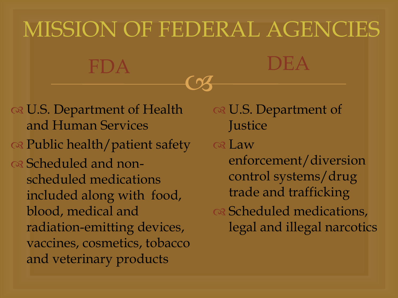## MISSION OF FEDERAL AGENCIES

 $\overline{\mathcal{C}}$ 

FDA DEA

os U.S. Department of Health and Human Services os Public health/patient safety os Scheduled and nonscheduled medications included along with food, blood, medical and radiation-emitting devices, vaccines, cosmetics, tobacco and veterinary products

os U.S. Department of **Justice** os Law enforcement/diversion control systems/drug trade and trafficking ca Scheduled medications, legal and illegal narcotics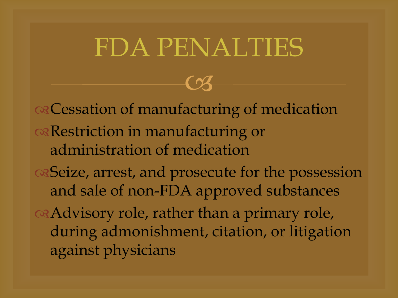#### FDA PENALTIES

 $\overline{\mathcal{C}}$ 

ca Cessation of manufacturing of medication Restriction in manufacturing or administration of medication Seize, arrest, and prosecute for the possession and sale of non-FDA approved substances Advisory role, rather than a primary role, during admonishment, citation, or litigation against physicians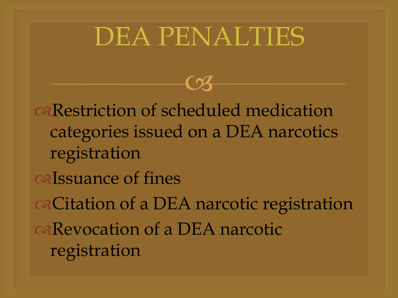#### DEA PENALTIES

 $\overline{\mathcal{C}}$ 

Restriction of scheduled medication categories issued on a DEA narcotics registration os Issuance of fines Citation of a DEA narcotic registration Revocation of a DEA narcotic registration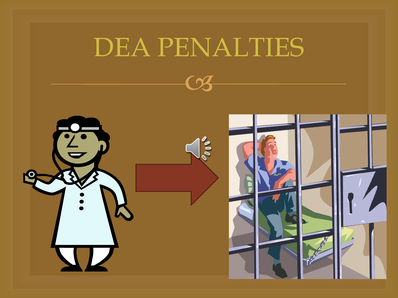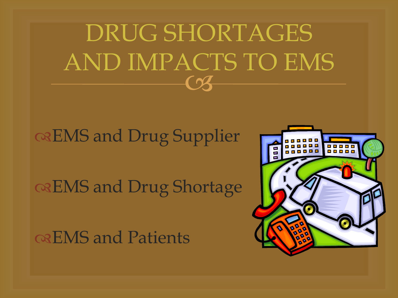$\bm{\mathcal{C}}$ DRUG SHORTAGES AND IMPACTS TO EMS

#### EMS and Drug Supplier

#### EMS and Drug Shortage

EMS and Patients

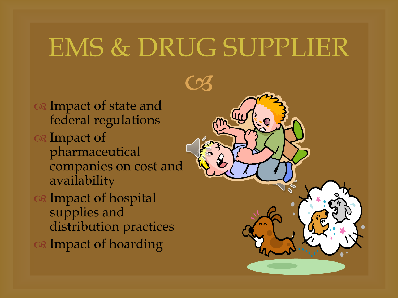#### EMS & DRUG SUPPLIER

os Impact of state and federal regulations os Impact of pharmaceutical companies on cost and availability a Impact of hospital supplies and

- distribution practices
- os Impact of hoarding

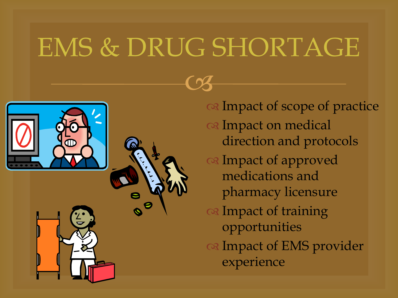### EMS & DRUG SHORTAGE



os Impact of scope of practice os Impact on medical direction and protocols Impact of approved medications and pharmacy licensure os Impact of training opportunities os Impact of EMS provider experience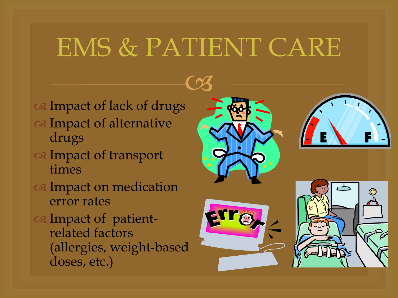### EMS & PATIENT CARE

- os Impact of lack of drugs
- Impact of alternative drugs
- Impact of transport times
- os Impact on medication error rates
- os Impact of patientrelated factors (allergies, weight-based doses, etc.)





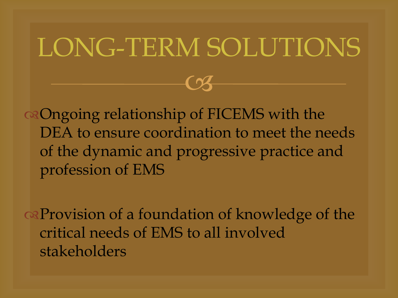#### LONG-TERM SOLUTIONS

 $\overline{\mathcal{C}}$ 

of FICEMS with the DEA to ensure coordination to meet the needs of the dynamic and progressive practice and profession of EMS

Provision of a foundation of knowledge of the critical needs of EMS to all involved stakeholders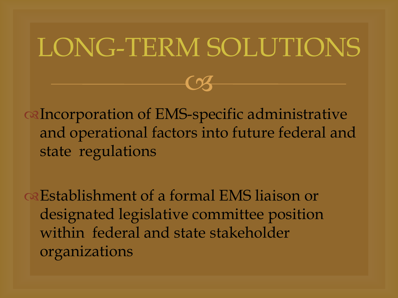#### LONG-TERM SOLUTIONS

 $\overline{\mathcal{C}}$ 

Incorporation of EMS-specific administrative and operational factors into future federal and state regulations

Establishment of a formal EMS liaison or designated legislative committee position within federal and state stakeholder organizations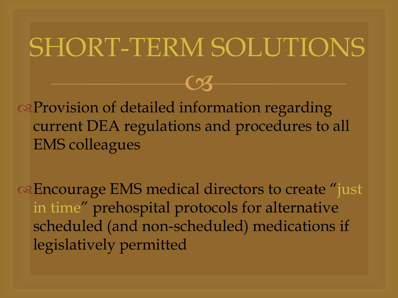### SHORT-TERM SOLUTIONS

 $\overline{\mathcal{C}}$ 

or Provision of detailed information regarding current DEA regulations and procedures to all EMS colleagues

or Encourage EMS medical directors to create "just" in time" prehospital protocols for alternative scheduled (and non-scheduled) medications if legislatively permitted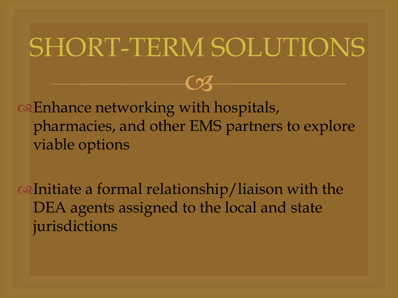#### SHORT-TERM SOLUTIONS

 $\overline{\mathcal{C}}$ 

or Enhance networking with hospitals, pharmacies, and other EMS partners to explore viable options

Initiate a formal relationship/liaison with the DEA agents assigned to the local and state jurisdictions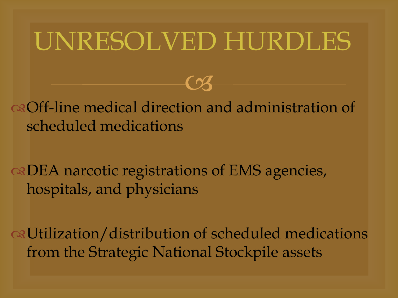#### UNRESOLVED HURDLES

 $\overline{\mathcal{C}}$ 

Off-line medical direction and administration of scheduled medications

DEA narcotic registrations of EMS agencies, hospitals, and physicians

Utilization/distribution of scheduled medications from the Strategic National Stockpile assets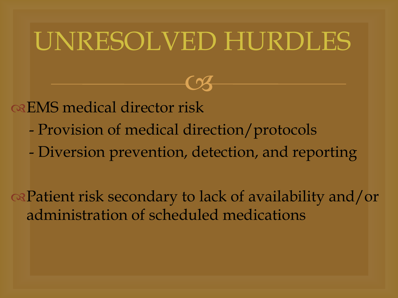### UNRESOLVED HURDLES

 $\overline{\mathcal{C}}$ 

os EMS medical director risk

- Provision of medical direction/protocols
- Diversion prevention, detection, and reporting

Patient risk secondary to lack of availability and/or administration of scheduled medications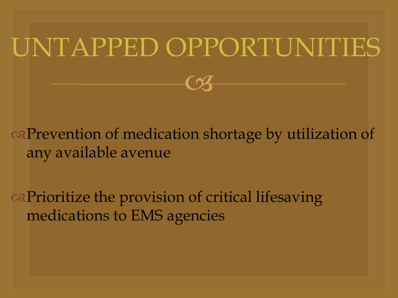## UNTAPPED OPPORTUNITIES

 $\boldsymbol{\mathcal{C}}$ 

Prevention of medication shortage by utilization of any available avenue

**Example 2** captainty of critical lifesaving medications to EMS agencies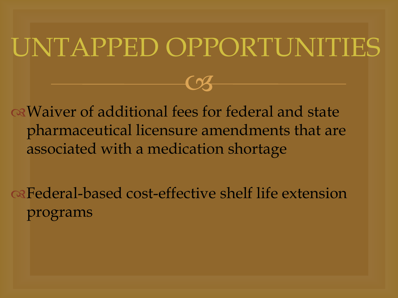### UNTAPPED OPPORTUNITIES

 $\curvearrowright$ 

of additional fees for federal and state pharmaceutical licensure amendments that are associated with a medication shortage

**Rederal-based cost-effective shelf life extension** programs